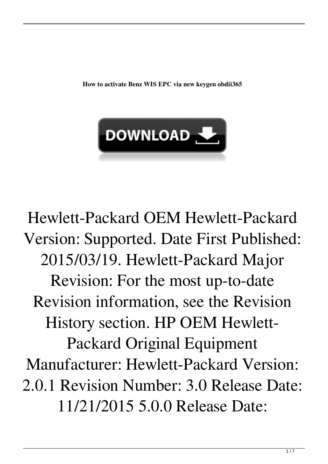**How to activate Benz WIS EPC via new keygen obdii365**



Hewlett-Packard OEM Hewlett-Packard Version: Supported. Date First Published: 2015/03/19. Hewlett-Packard Major Revision: For the most up-to-date Revision information, see the Revision History section. HP OEM Hewlett-Packard Original Equipment Manufacturer: Hewlett-Packard Version: 2.0.1 Revision Number: 3.0 Release Date: 11/21/2015 5.0.0 Release Date: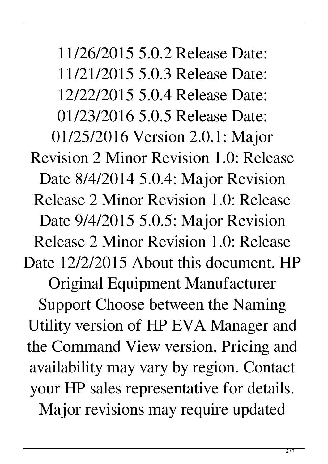11/26/2015 5.0.2 Release Date: 11/21/2015 5.0.3 Release Date: 12/22/2015 5.0.4 Release Date: 01/23/2016 5.0.5 Release Date: 01/25/2016 Version 2.0.1: Major Revision 2 Minor Revision 1.0: Release Date 8/4/2014 5.0.4: Major Revision Release 2 Minor Revision 1.0: Release Date 9/4/2015 5.0.5: Major Revision Release 2 Minor Revision 1.0: Release Date  $12/2/2015$  About this document. HP Original Equipment Manufacturer Support Choose between the Naming Utility version of HP EVA Manager and the Command View version. Pricing and availability may vary by region. Contact your HP sales representative for details. Major revisions may require updated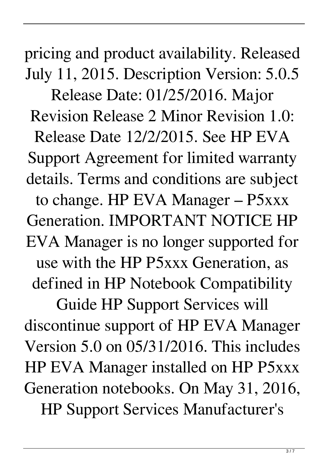pricing and product availability. Released July 11, 2015. Description Version: 5.0.5

Release Date: 01/25/2016. Major Revision Release 2 Minor Revision 1.0: Release Date 12/2/2015. See HP EVA Support Agreement for limited warranty details. Terms and conditions are subject to change. HP EVA Manager – P5xxx Generation. IMPORTANT NOTICE HP EVA Manager is no longer supported for use with the HP P5xxx Generation, as defined in HP Notebook Compatibility

Guide HP Support Services will discontinue support of HP EVA Manager Version 5.0 on 05/31/2016. This includes HP EVA Manager installed on HP P5xxx Generation notebooks. On May 31, 2016, HP Support Services Manufacturer's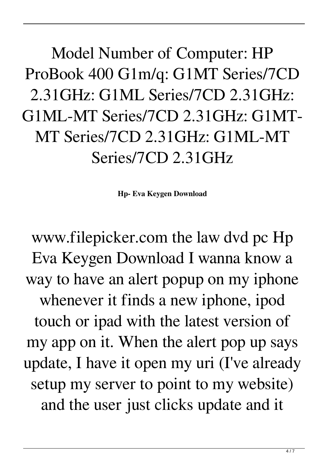Model Number of Computer: HP ProBook 400 G1m/q: G1MT Series/7CD 2.31GHz: G1ML Series/7CD 2.31GHz: G1ML-MT Series/7CD 2.31GHz: G1MT-MT Series/7CD 2.31GHz: G1ML-MT Series/7CD 2.31GHz

**Hp- Eva Keygen Download**

www.filepicker.com the law dvd pc Hp Eva Keygen Download I wanna know a way to have an alert popup on my iphone whenever it finds a new iphone, ipod touch or ipad with the latest version of my app on it. When the alert pop up says update, I have it open my uri (I've already setup my server to point to my website) and the user just clicks update and it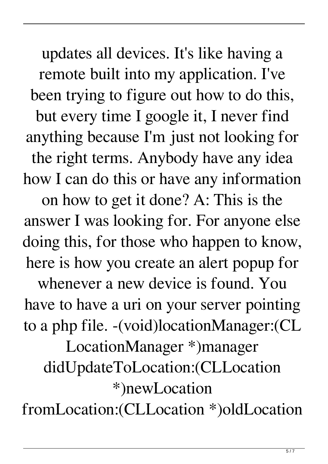updates all devices. It's like having a remote built into my application. I've been trying to figure out how to do this, but every time I google it, I never find anything because I'm just not looking for the right terms. Anybody have any idea how I can do this or have any information

on how to get it done? A: This is the answer I was looking for. For anyone else doing this, for those who happen to know, here is how you create an alert popup for

whenever a new device is found. You have to have a uri on your server pointing to a php file. -(void)locationManager:(CL LocationManager \*)manager didUpdateToLocation:(CLLocation \*)newLocation fromLocation:(CLLocation \*)oldLocation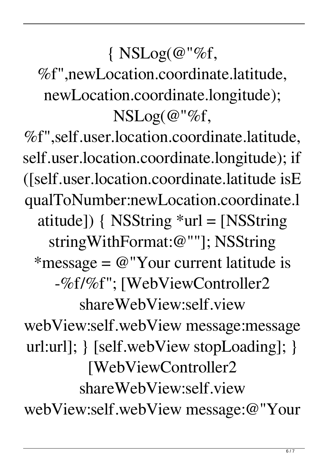## $\{ NSLog(\omega \degree \% f,$

%f",newLocation.coordinate.latitude, newLocation.coordinate.longitude); NSLog(@"%f,

%f",self.user.location.coordinate.latitude, self.user.location.coordinate.longitude); if ([self.user.location.coordinate.latitude isE qualToNumber:newLocation.coordinate.l atitude]) { NSString \*url = [NSString stringWithFormat:@""]; NSString \*message =  $@$ "Your current latitude is -%f/%f"; [WebViewController2 shareWebView:self.view webView:self.webView message:message url:url]; } [self.webView stopLoading]; } [WebViewController2 shareWebView:self.view webView:self.webView message:@"Your